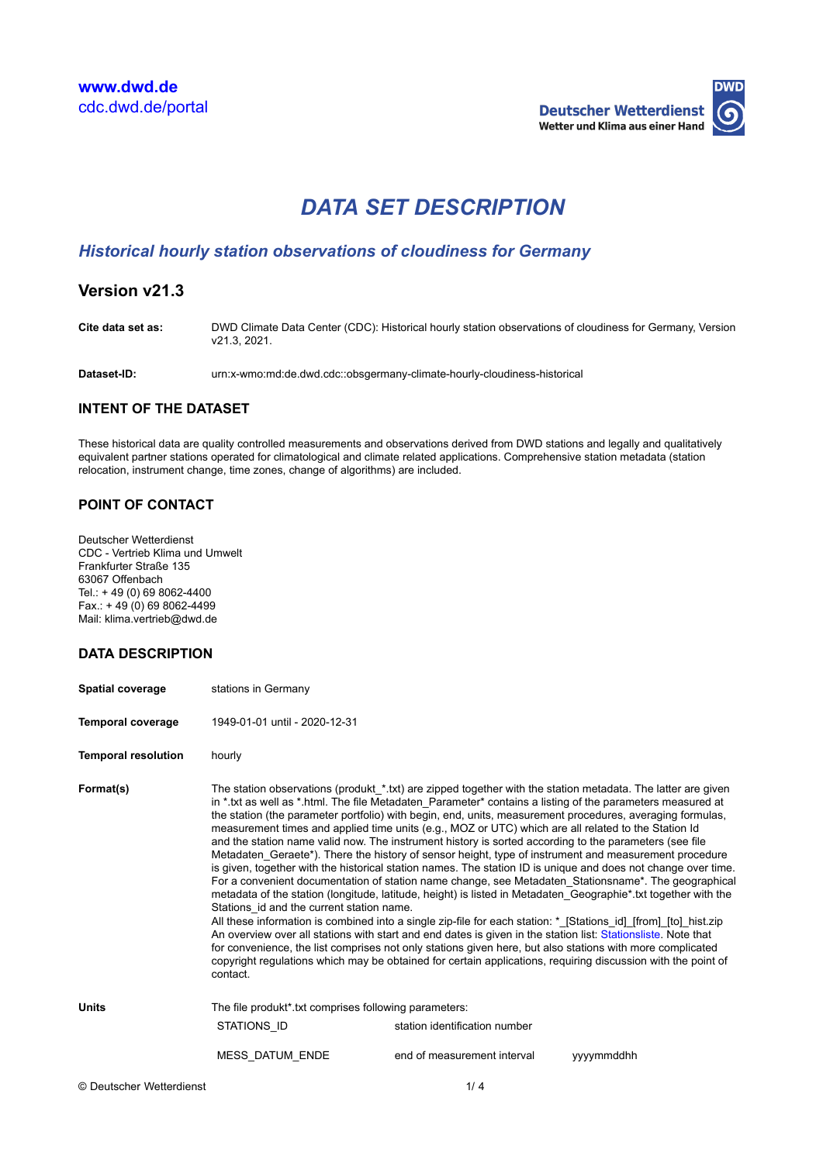

# *DATA SET DESCRIPTION*

# *Historical hourly station observations of cloudiness for Germany*

# **Version v21.3**

**Cite data set as:** DWD Climate Data Center (CDC): Historical hourly station observations of cloudiness for Germany, Version v21.3, 2021.

**Dataset-ID:** urn:x-wmo:md:de.dwd.cdc::obsgermany-climate-hourly-cloudiness-historical

#### **INTENT OF THE DATASET**

These historical data are quality controlled measurements and observations derived from DWD stations and legally and qualitatively equivalent partner stations operated for climatological and climate related applications. Comprehensive station metadata (station relocation, instrument change, time zones, change of algorithms) are included.

### **POINT OF CONTACT**

Deutscher Wetterdienst CDC - Vertrieb Klima und Umwelt Frankfurter Straße 135 63067 Offenbach Tel.: + 49 (0) 69 8062-4400  $Fax.: + 49(0)698062-4499$ Mail: klima.vertrieb@dwd.de

#### **DATA DESCRIPTION**

| <b>Spatial coverage</b>    | stations in Germany                                                                                                                                                                                                                                                                                                                                                                                                                                                                                                                                                                                                                                                                                                                                                                                                                                                                                                                                                                                                                                                                                                                                                                                                                                                                                                                                                                                                                                                                                                                    |                               |           |  |
|----------------------------|----------------------------------------------------------------------------------------------------------------------------------------------------------------------------------------------------------------------------------------------------------------------------------------------------------------------------------------------------------------------------------------------------------------------------------------------------------------------------------------------------------------------------------------------------------------------------------------------------------------------------------------------------------------------------------------------------------------------------------------------------------------------------------------------------------------------------------------------------------------------------------------------------------------------------------------------------------------------------------------------------------------------------------------------------------------------------------------------------------------------------------------------------------------------------------------------------------------------------------------------------------------------------------------------------------------------------------------------------------------------------------------------------------------------------------------------------------------------------------------------------------------------------------------|-------------------------------|-----------|--|
| <b>Temporal coverage</b>   | 1949-01-01 until - 2020-12-31                                                                                                                                                                                                                                                                                                                                                                                                                                                                                                                                                                                                                                                                                                                                                                                                                                                                                                                                                                                                                                                                                                                                                                                                                                                                                                                                                                                                                                                                                                          |                               |           |  |
| <b>Temporal resolution</b> | hourly                                                                                                                                                                                                                                                                                                                                                                                                                                                                                                                                                                                                                                                                                                                                                                                                                                                                                                                                                                                                                                                                                                                                                                                                                                                                                                                                                                                                                                                                                                                                 |                               |           |  |
| Format(s)                  | The station observations (produkt_*.txt) are zipped together with the station metadata. The latter are given<br>in * txt as well as * html. The file Metadaten Parameter* contains a listing of the parameters measured at<br>the station (the parameter portfolio) with begin, end, units, measurement procedures, averaging formulas,<br>measurement times and applied time units (e.g., MOZ or UTC) which are all related to the Station Id<br>and the station name valid now. The instrument history is sorted according to the parameters (see file<br>Metadaten Geraete*). There the history of sensor height, type of instrument and measurement procedure<br>is given, together with the historical station names. The station ID is unique and does not change over time.<br>For a convenient documentation of station name change, see Metadaten Stationsname*. The geographical<br>metadata of the station (longitude, latitude, height) is listed in Metadaten Geographie* txt together with the<br>Stations id and the current station name.<br>All these information is combined into a single zip-file for each station: *_[Stations_id]_[from]_[to]_hist.zip<br>An overview over all stations with start and end dates is given in the station list: Stationsliste. Note that<br>for convenience, the list comprises not only stations given here, but also stations with more complicated<br>copyright regulations which may be obtained for certain applications, requiring discussion with the point of<br>contact. |                               |           |  |
| <b>Units</b>               | The file produkt <sup>*</sup> txt comprises following parameters:                                                                                                                                                                                                                                                                                                                                                                                                                                                                                                                                                                                                                                                                                                                                                                                                                                                                                                                                                                                                                                                                                                                                                                                                                                                                                                                                                                                                                                                                      |                               |           |  |
|                            | STATIONS ID                                                                                                                                                                                                                                                                                                                                                                                                                                                                                                                                                                                                                                                                                                                                                                                                                                                                                                                                                                                                                                                                                                                                                                                                                                                                                                                                                                                                                                                                                                                            | station identification number |           |  |
|                            | <b>MESS DATUM ENDE</b>                                                                                                                                                                                                                                                                                                                                                                                                                                                                                                                                                                                                                                                                                                                                                                                                                                                                                                                                                                                                                                                                                                                                                                                                                                                                                                                                                                                                                                                                                                                 | end of measurement interval   | vyymmddhh |  |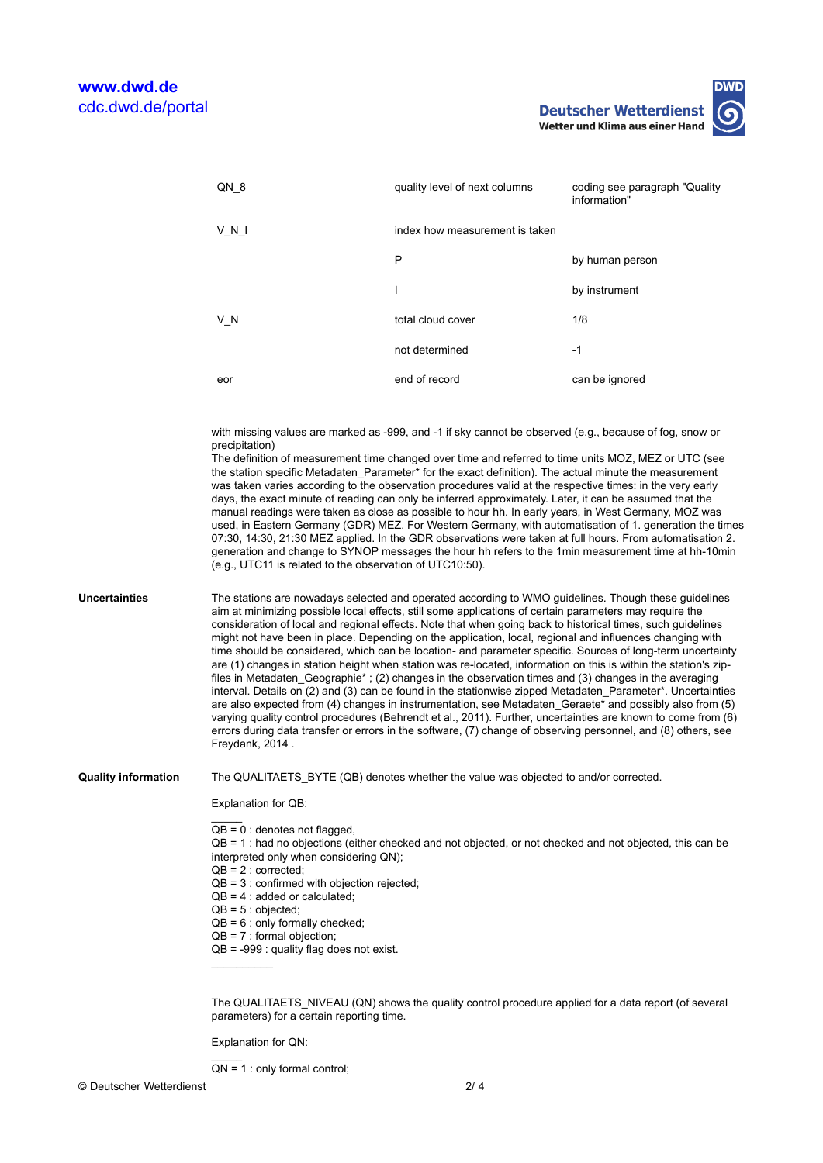**Deutscher Wetterdienst** Wetter und Klima aus einer Hand

| QN 8  | quality level of next columns  | coding see paragraph "Quality"<br>information" |
|-------|--------------------------------|------------------------------------------------|
| V N I | index how measurement is taken |                                                |
|       | P                              | by human person                                |
|       |                                | by instrument                                  |
| V N   | total cloud cover              | 1/8                                            |
|       | not determined                 | $-1$                                           |
| eor   | end of record                  | can be ignored                                 |

with missing values are marked as -999, and -1 if sky cannot be observed (e.g., because of fog, snow or precipitation)

The definition of measurement time changed over time and referred to time units MOZ, MEZ or UTC (see the station specific Metadaten\_Parameter\* for the exact definition). The actual minute the measurement was taken varies according to the observation procedures valid at the respective times: in the very early days, the exact minute of reading can only be inferred approximately. Later, it can be assumed that the manual readings were taken as close as possible to hour hh. In early years, in West Germany, MOZ was used, in Eastern Germany (GDR) MEZ. For Western Germany, with automatisation of 1. generation the times 07:30, 14:30, 21:30 MEZ applied. In the GDR observations were taken at full hours. From automatisation 2. generation and change to SYNOP messages the hour hh refers to the 1min measurement time at hh-10min (e.g., UTC11 is related to the observation of UTC10:50).

**Uncertainties** The stations are nowadays selected and operated according to WMO guidelines. Though these guidelines aim at minimizing possible local effects, still some applications of certain parameters may require the consideration of local and regional effects. Note that when going back to historical times, such guidelines might not have been in place. Depending on the application, local, regional and influences changing with time should be considered, which can be location- and parameter specific. Sources of long-term uncertainty are (1) changes in station height when station was re-located, information on this is within the station's zipfiles in Metadaten\_Geographie\* ; (2) changes in the observation times and (3) changes in the averaging interval. Details on (2) and (3) can be found in the stationwise zipped Metadaten\_Parameter\*. Uncertainties are also expected from (4) changes in instrumentation, see Metadaten\_Geraete\* and possibly also from (5) varying quality control procedures (Behrendt et al., 2011). Further, uncertainties are known to come from (6) errors during data transfer or errors in the software, (7) change of observing personnel, and (8) others, see Freydank, 2014 .

**Quality information** The QUALITAETS\_BYTE (QB) denotes whether the value was objected to and/or corrected.

Explanation for QB:

 $\overline{\phantom{a}}$  $QB = 0$  : denotes not flagged,

QB = 1 : had no objections (either checked and not objected, or not checked and not objected, this can be interpreted only when considering QN);

- $QB = 2 :$  corrected;
- QB = 3 : confirmed with objection rejected;
- $QB = 4$ : added or calculated:
- $QB = 5 : objected;$

 $\overline{\phantom{a}}$ 

 $\overline{\phantom{a}}$ 

- $QB = 6$ : only formally checked;
- $QB = 7 :$  formal objection;
- QB = -999 : quality flag does not exist.

The QUALITAETS\_NIVEAU (QN) shows the quality control procedure applied for a data report (of several parameters) for a certain reporting time.

Explanation for QN:

 $QN = 1$ : only formal control;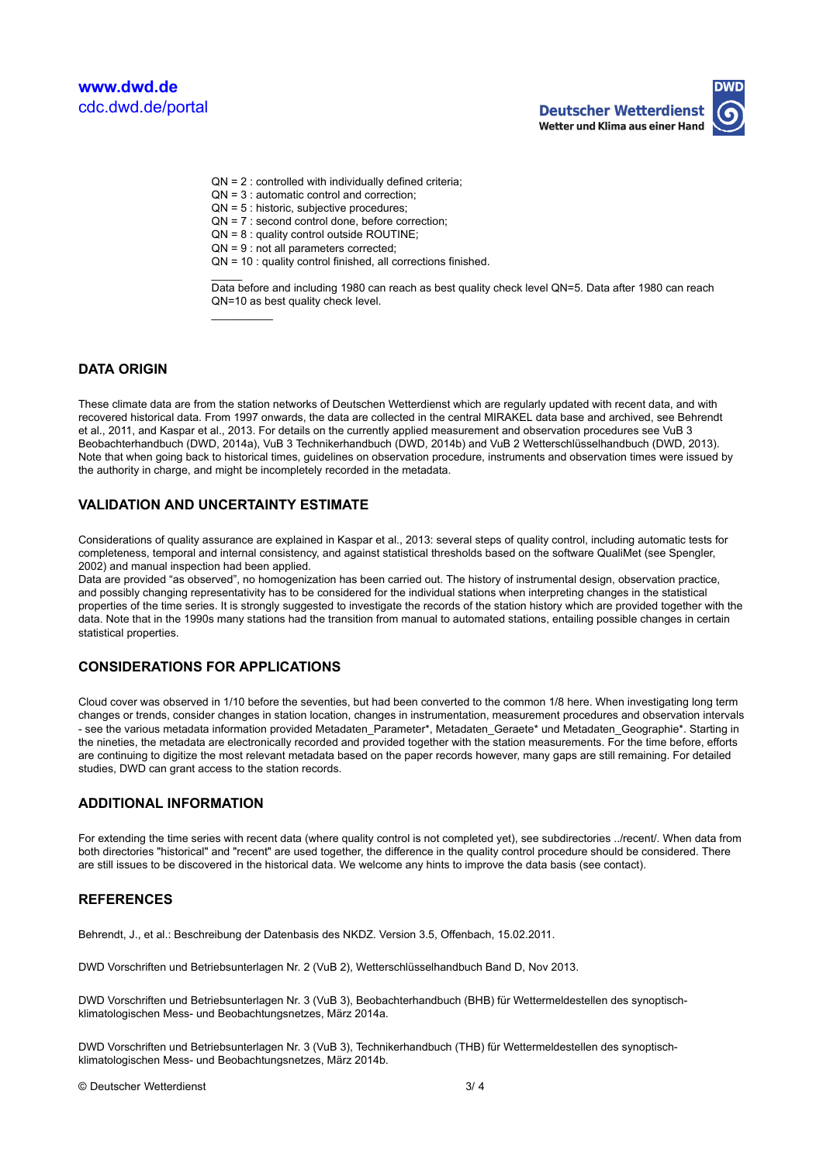

- $ON = 3$  : automatic control and correction:
- QN = 5 : historic, subjective procedures;
- QN = 7 : second control done, before correction;
- QN = 8 : quality control outside ROUTINE;
- QN = 9 : not all parameters corrected;
- QN = 10 : quality control finished, all corrections finished.

Data before and including 1980 can reach as best quality check level QN=5. Data after 1980 can reach QN=10 as best quality check level.

#### **DATA ORIGIN**

These climate data are from the station networks of Deutschen Wetterdienst which are regularly updated with recent data, and with recovered historical data. From 1997 onwards, the data are collected in the central MIRAKEL data base and archived, see Behrendt et al., 2011, and Kaspar et al., 2013. For details on the currently applied measurement and observation procedures see VuB 3 Beobachterhandbuch (DWD, 2014a), VuB 3 Technikerhandbuch (DWD, 2014b) and VuB 2 Wetterschlüsselhandbuch (DWD, 2013). Note that when going back to historical times, guidelines on observation procedure, instruments and observation times were issued by the authority in charge, and might be incompletely recorded in the metadata.

#### **VALIDATION AND UNCERTAINTY ESTIMATE**

 $\overline{\phantom{a}}$ 

 $\overline{\phantom{a}}$ 

Considerations of quality assurance are explained in Kaspar et al., 2013: several steps of quality control, including automatic tests for completeness, temporal and internal consistency, and against statistical thresholds based on the software QualiMet (see Spengler, 2002) and manual inspection had been applied.

Data are provided "as observed", no homogenization has been carried out. The history of instrumental design, observation practice, and possibly changing representativity has to be considered for the individual stations when interpreting changes in the statistical properties of the time series. It is strongly suggested to investigate the records of the station history which are provided together with the data. Note that in the 1990s many stations had the transition from manual to automated stations, entailing possible changes in certain statistical properties.

#### **CONSIDERATIONS FOR APPLICATIONS**

Cloud cover was observed in 1/10 before the seventies, but had been converted to the common 1/8 here. When investigating long term changes or trends, consider changes in station location, changes in instrumentation, measurement procedures and observation intervals - see the various metadata information provided Metadaten\_Parameter\*, Metadaten\_Geraete\* und Metadaten\_Geographie\*. Starting in the nineties, the metadata are electronically recorded and provided together with the station measurements. For the time before, efforts are continuing to digitize the most relevant metadata based on the paper records however, many gaps are still remaining. For detailed studies, DWD can grant access to the station records.

#### **ADDITIONAL INFORMATION**

For extending the time series with recent data (where quality control is not completed yet), see subdirectories ../recent/. When data from both directories "historical" and "recent" are used together, the difference in the quality control procedure should be considered. There are still issues to be discovered in the historical data. We welcome any hints to improve the data basis (see contact).

#### **REFERENCES**

Behrendt, J., et al.: Beschreibung der Datenbasis des NKDZ. Version 3.5, Offenbach, 15.02.2011.

DWD Vorschriften und Betriebsunterlagen Nr. 2 (VuB 2), Wetterschlüsselhandbuch Band D, Nov 2013.

DWD Vorschriften und Betriebsunterlagen Nr. 3 (VuB 3), Beobachterhandbuch (BHB) für Wettermeldestellen des synoptischklimatologischen Mess- und Beobachtungsnetzes, März 2014a.

DWD Vorschriften und Betriebsunterlagen Nr. 3 (VuB 3), Technikerhandbuch (THB) für Wettermeldestellen des synoptischklimatologischen Mess- und Beobachtungsnetzes, März 2014b.